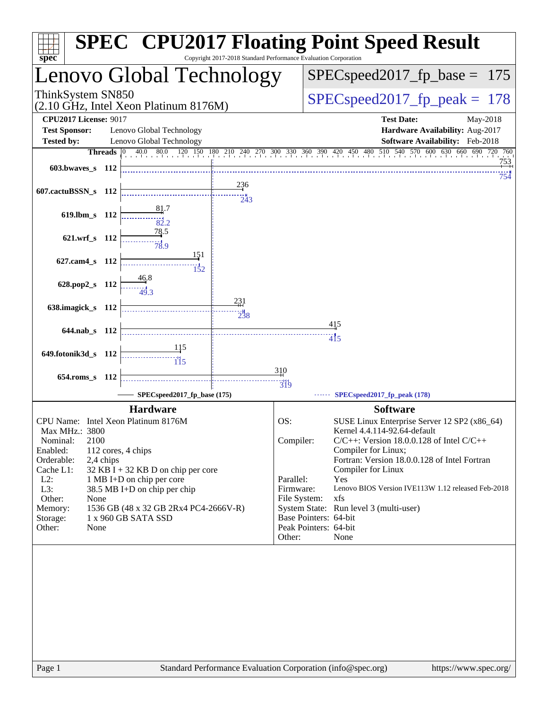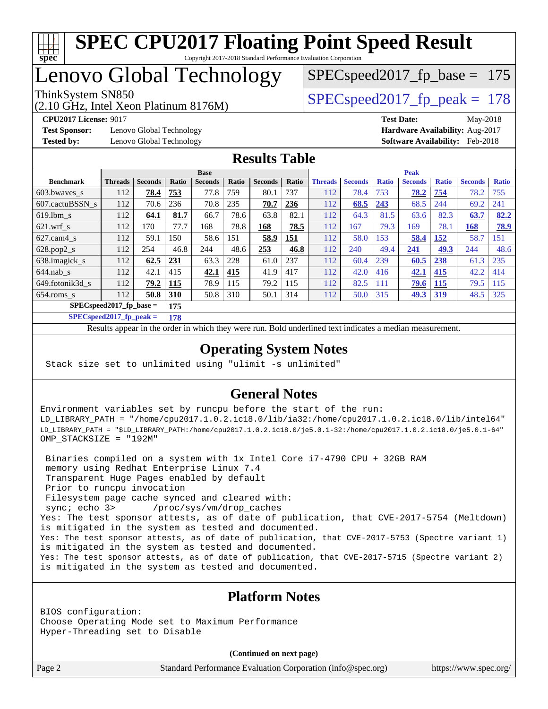

# Lenovo Global Technology

(2.10 GHz, Intel Xeon Platinum 8176M)

ThinkSystem SN850<br>  $\angle Q$  10 CHz, Intel Year Platinum 8176M

SPECspeed2017 fp base =  $175$ 

**[Test Sponsor:](http://www.spec.org/auto/cpu2017/Docs/result-fields.html#TestSponsor)** Lenovo Global Technology **[Hardware Availability:](http://www.spec.org/auto/cpu2017/Docs/result-fields.html#HardwareAvailability)** Aug-2017 **[Tested by:](http://www.spec.org/auto/cpu2017/Docs/result-fields.html#Testedby)** Lenovo Global Technology **[Software Availability:](http://www.spec.org/auto/cpu2017/Docs/result-fields.html#SoftwareAvailability)** Feb-2018

**[CPU2017 License:](http://www.spec.org/auto/cpu2017/Docs/result-fields.html#CPU2017License)** 9017 **[Test Date:](http://www.spec.org/auto/cpu2017/Docs/result-fields.html#TestDate)** May-2018

#### **[Results Table](http://www.spec.org/auto/cpu2017/Docs/result-fields.html#ResultsTable)**

|                                   | <b>Base</b>    |                |              |                |       |                |       | <b>Peak</b>    |                |              |                |              |                |              |
|-----------------------------------|----------------|----------------|--------------|----------------|-------|----------------|-------|----------------|----------------|--------------|----------------|--------------|----------------|--------------|
| <b>Benchmark</b>                  | <b>Threads</b> | <b>Seconds</b> | <b>Ratio</b> | <b>Seconds</b> | Ratio | <b>Seconds</b> | Ratio | <b>Threads</b> | <b>Seconds</b> | <b>Ratio</b> | <b>Seconds</b> | <b>Ratio</b> | <b>Seconds</b> | <b>Ratio</b> |
| 603.bwayes_s                      | 112            | 78.4           | 753          | 77.8           | 759   | 80.1           | 737   | 112            | 78.4           | 753          | 78.2           | 754          | 78.2           | 755          |
| 607.cactuBSSN s                   | 112            | 70.6           | 236          | 70.8           | 235   | 70.7           | 236   | 112            | 68.5           | 243          | 68.5           | 244          | 69.2           | 241          |
| $619.1$ bm s                      | 112            | 64.1           | 81.7         | 66.7           | 78.6  | 63.8           | 82.1  | 112            | 64.3           | 81.5         | 63.6           | 82.3         | 63.7           | 82.2         |
| $621$ .wrf s                      | 112            | 170            | 77.7         | 168            | 78.8  | 168            | 78.5  | 112            | 167            | 79.3         | 169            | 78.1         | 168            | 78.9         |
| $627$ .cam4 s                     | 112            | 59.1           | 150          | 58.6           | 151   | 58.9           | 151   | 112            | 58.0           | 153          | 58.4           | 152          | 58.7           | 151          |
| $628.pop2_s$                      | 112            | 254            | 46.8         | 244            | 48.6  | 253            | 46.8  | 112            | 240            | 49.4         | 241            | 49.3         | 244            | 48.6         |
| 638.imagick_s                     | 112            | 62.5           | 231          | 63.3           | 228   | 61.0           | 237   | 112            | 60.4           | 239          | 60.5           | 238          | 61.3           | 235          |
| $644$ .nab s                      | 112            | 42.1           | 415          | 42.1           | 415   | 41.9           | 417   | 112            | 42.0           | 416          | 42.1           | 415          | 42.2           | 414          |
| 649.fotonik3d s                   | 112            | 79.2           | 115          | 78.9           | 115   | 79.2           | 115   | 112            | 82.5           | 111          | 79.6           | 115          | 79.5           | 115          |
| $654$ .roms_s                     | 112            | 50.8           | 310          | 50.8           | 310   | 50.1           | 314   | 112            | 50.0           | 315          | <u>49.3</u>    | <u>319</u>   | 48.5           | 325          |
| $SPECspeed2017_fp\_base =$<br>175 |                |                |              |                |       |                |       |                |                |              |                |              |                |              |

**[SPECspeed2017\\_fp\\_peak =](http://www.spec.org/auto/cpu2017/Docs/result-fields.html#SPECspeed2017fppeak) 178**

Results appear in the [order in which they were run.](http://www.spec.org/auto/cpu2017/Docs/result-fields.html#RunOrder) Bold underlined text [indicates a median measurement](http://www.spec.org/auto/cpu2017/Docs/result-fields.html#Median).

#### **[Operating System Notes](http://www.spec.org/auto/cpu2017/Docs/result-fields.html#OperatingSystemNotes)**

Stack size set to unlimited using "ulimit -s unlimited"

#### **[General Notes](http://www.spec.org/auto/cpu2017/Docs/result-fields.html#GeneralNotes)**

Environment variables set by runcpu before the start of the run: LD\_LIBRARY\_PATH = "/home/cpu2017.1.0.2.ic18.0/lib/ia32:/home/cpu2017.1.0.2.ic18.0/lib/intel64" LD\_LIBRARY\_PATH = "\$LD\_LIBRARY\_PATH:/home/cpu2017.1.0.2.ic18.0/je5.0.1-32:/home/cpu2017.1.0.2.ic18.0/je5.0.1-64" OMP\_STACKSIZE = "192M"

 Binaries compiled on a system with 1x Intel Core i7-4790 CPU + 32GB RAM memory using Redhat Enterprise Linux 7.4 Transparent Huge Pages enabled by default Prior to runcpu invocation Filesystem page cache synced and cleared with: sync; echo 3> /proc/sys/vm/drop\_caches Yes: The test sponsor attests, as of date of publication, that CVE-2017-5754 (Meltdown) is mitigated in the system as tested and documented. Yes: The test sponsor attests, as of date of publication, that CVE-2017-5753 (Spectre variant 1) is mitigated in the system as tested and documented. Yes: The test sponsor attests, as of date of publication, that CVE-2017-5715 (Spectre variant 2) is mitigated in the system as tested and documented.

#### **[Platform Notes](http://www.spec.org/auto/cpu2017/Docs/result-fields.html#PlatformNotes)**

BIOS configuration: Choose Operating Mode set to Maximum Performance Hyper-Threading set to Disable

**(Continued on next page)**

Page 2 Standard Performance Evaluation Corporation [\(info@spec.org\)](mailto:info@spec.org) <https://www.spec.org/>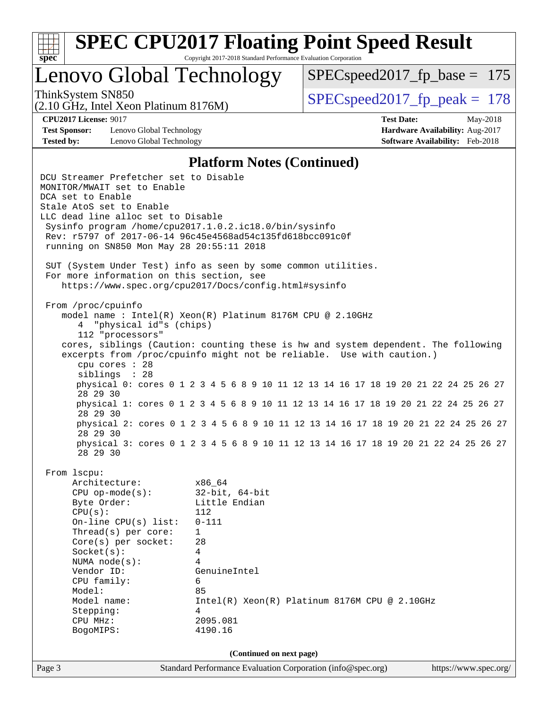

### Lenovo Global Technology

SPECspeed2017 fp base =  $175$ 

(2.10 GHz, Intel Xeon Platinum 8176M)

ThinkSystem SN850<br>  $SPEC speed2017$  fp\_peak = 178

**[Test Sponsor:](http://www.spec.org/auto/cpu2017/Docs/result-fields.html#TestSponsor)** Lenovo Global Technology **[Hardware Availability:](http://www.spec.org/auto/cpu2017/Docs/result-fields.html#HardwareAvailability)** Aug-2017 **[Tested by:](http://www.spec.org/auto/cpu2017/Docs/result-fields.html#Testedby)** Lenovo Global Technology **[Software Availability:](http://www.spec.org/auto/cpu2017/Docs/result-fields.html#SoftwareAvailability)** Feb-2018

**[CPU2017 License:](http://www.spec.org/auto/cpu2017/Docs/result-fields.html#CPU2017License)** 9017 **[Test Date:](http://www.spec.org/auto/cpu2017/Docs/result-fields.html#TestDate)** May-2018

#### **[Platform Notes \(Continued\)](http://www.spec.org/auto/cpu2017/Docs/result-fields.html#PlatformNotes)**

Page 3 Standard Performance Evaluation Corporation [\(info@spec.org\)](mailto:info@spec.org) <https://www.spec.org/> DCU Streamer Prefetcher set to Disable MONITOR/MWAIT set to Enable DCA set to Enable Stale AtoS set to Enable LLC dead line alloc set to Disable Sysinfo program /home/cpu2017.1.0.2.ic18.0/bin/sysinfo Rev: r5797 of 2017-06-14 96c45e4568ad54c135fd618bcc091c0f running on SN850 Mon May 28 20:55:11 2018 SUT (System Under Test) info as seen by some common utilities. For more information on this section, see <https://www.spec.org/cpu2017/Docs/config.html#sysinfo> From /proc/cpuinfo model name : Intel(R) Xeon(R) Platinum 8176M CPU @ 2.10GHz 4 "physical id"s (chips) 112 "processors" cores, siblings (Caution: counting these is hw and system dependent. The following excerpts from /proc/cpuinfo might not be reliable. Use with caution.) cpu cores : 28 siblings : 28 physical 0: cores 0 1 2 3 4 5 6 8 9 10 11 12 13 14 16 17 18 19 20 21 22 24 25 26 27 28 29 30 physical 1: cores 0 1 2 3 4 5 6 8 9 10 11 12 13 14 16 17 18 19 20 21 22 24 25 26 27 28 29 30 physical 2: cores 0 1 2 3 4 5 6 8 9 10 11 12 13 14 16 17 18 19 20 21 22 24 25 26 27 28 29 30 physical 3: cores 0 1 2 3 4 5 6 8 9 10 11 12 13 14 16 17 18 19 20 21 22 24 25 26 27 28 29 30 From lscpu: Architecture: x86\_64 CPU op-mode(s): 32-bit, 64-bit Byte Order: Little Endian CPU(s): 112 On-line CPU(s) list: 0-111 Thread(s) per core: 1 Core(s) per socket: 28 Socket(s): 4 NUMA node(s): 4 Vendor ID: GenuineIntel CPU family: 6 Model: 85 Model name: Intel(R) Xeon(R) Platinum 8176M CPU @ 2.10GHz Stepping: 4 CPU MHz: 2095.081 BogoMIPS: 4190.16 **(Continued on next page)**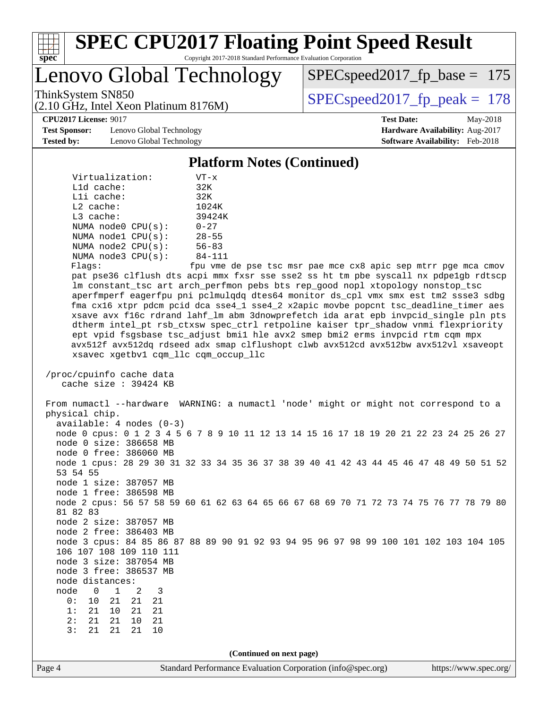

Lenovo Global Technology

[SPECspeed2017\\_fp\\_base =](http://www.spec.org/auto/cpu2017/Docs/result-fields.html#SPECspeed2017fpbase) 175

(2.10 GHz, Intel Xeon Platinum 8176M)

ThinkSystem SN850<br>  $(2.10 \text{ GHz})$  [SPECspeed2017\\_fp\\_peak =](http://www.spec.org/auto/cpu2017/Docs/result-fields.html#SPECspeed2017fppeak) 178

**[Test Sponsor:](http://www.spec.org/auto/cpu2017/Docs/result-fields.html#TestSponsor)** Lenovo Global Technology **[Hardware Availability:](http://www.spec.org/auto/cpu2017/Docs/result-fields.html#HardwareAvailability)** Aug-2017 **[Tested by:](http://www.spec.org/auto/cpu2017/Docs/result-fields.html#Testedby)** Lenovo Global Technology **[Software Availability:](http://www.spec.org/auto/cpu2017/Docs/result-fields.html#SoftwareAvailability)** Feb-2018

**[CPU2017 License:](http://www.spec.org/auto/cpu2017/Docs/result-fields.html#CPU2017License)** 9017 **[Test Date:](http://www.spec.org/auto/cpu2017/Docs/result-fields.html#TestDate)** May-2018

#### **[Platform Notes \(Continued\)](http://www.spec.org/auto/cpu2017/Docs/result-fields.html#PlatformNotes)**

| Virtualization:           | $VT - x$                   |
|---------------------------|----------------------------|
| $L1d$ cache:              | 32K                        |
| $L1i$ cache:              | 32K                        |
| $L2$ cache:               | 1024K                      |
| $L3$ cache:               | 39424K                     |
| NUMA node0 CPU(s):        | $0 - 27$                   |
| NUMA nodel CPU(s):        | $28 - 55$                  |
| NUMA $node2$ $CPU(s)$ :   | $56 - 83$                  |
| NUMA $node3$ $CPU(s)$ :   | $84 - 111$                 |
| $F1 \cap \alpha \alpha$ . | $F_{\text{min}}$ $\tau$ mo |

Flags: fpu vme de pse tsc msr pae mce cx8 apic sep mtrr pge mca cmov pat pse36 clflush dts acpi mmx fxsr sse sse2 ss ht tm pbe syscall nx pdpe1gb rdtscp lm constant\_tsc art arch\_perfmon pebs bts rep\_good nopl xtopology nonstop\_tsc aperfmperf eagerfpu pni pclmulqdq dtes64 monitor ds\_cpl vmx smx est tm2 ssse3 sdbg fma cx16 xtpr pdcm pcid dca sse4\_1 sse4\_2 x2apic movbe popcnt tsc\_deadline\_timer aes xsave avx f16c rdrand lahf\_lm abm 3dnowprefetch ida arat epb invpcid\_single pln pts dtherm intel\_pt rsb\_ctxsw spec\_ctrl retpoline kaiser tpr\_shadow vnmi flexpriority ept vpid fsgsbase tsc\_adjust bmi1 hle avx2 smep bmi2 erms invpcid rtm cqm mpx avx512f avx512dq rdseed adx smap clflushopt clwb avx512cd avx512bw avx512vl xsaveopt xsavec xgetbv1 cqm\_llc cqm\_occup\_llc

 /proc/cpuinfo cache data cache size : 39424 KB

 From numactl --hardware WARNING: a numactl 'node' might or might not correspond to a physical chip. available: 4 nodes (0-3) node 0 cpus: 0 1 2 3 4 5 6 7 8 9 10 11 12 13 14 15 16 17 18 19 20 21 22 23 24 25 26 27 node 0 size: 386658 MB

 node 0 free: 386060 MB node 1 cpus: 28 29 30 31 32 33 34 35 36 37 38 39 40 41 42 43 44 45 46 47 48 49 50 51 52 53 54 55 node 1 size: 387057 MB

node 1 free: 386598 MB

 node 2 cpus: 56 57 58 59 60 61 62 63 64 65 66 67 68 69 70 71 72 73 74 75 76 77 78 79 80 81 82 83 node 2 size: 387057 MB

 node 2 free: 386403 MB node 3 cpus: 84 85 86 87 88 89 90 91 92 93 94 95 96 97 98 99 100 101 102 103 104 105 106 107 108 109 110 111

 node 3 size: 387054 MB node 3 free: 386537 MB

 node distances: node 0 1 2 3

 0: 10 21 21 21 1: 21 10 21 21

 2: 21 21 10 21 3: 21 21 21 10

**(Continued on next page)**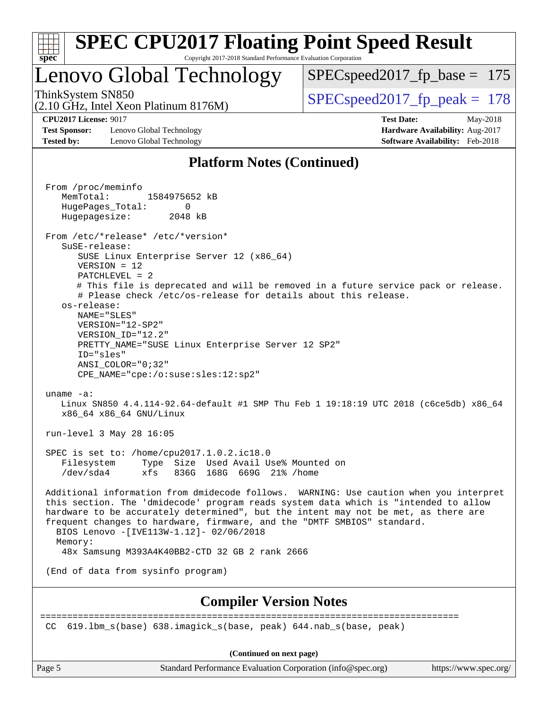

### Lenovo Global Technology

SPECspeed2017 fp base =  $175$ 

(2.10 GHz, Intel Xeon Platinum 8176M)

ThinkSystem SN850<br>  $\angle Q$  10 CHz, Intel Year Platinum 8176M

**[Test Sponsor:](http://www.spec.org/auto/cpu2017/Docs/result-fields.html#TestSponsor)** Lenovo Global Technology **[Hardware Availability:](http://www.spec.org/auto/cpu2017/Docs/result-fields.html#HardwareAvailability)** Aug-2017 **[Tested by:](http://www.spec.org/auto/cpu2017/Docs/result-fields.html#Testedby)** Lenovo Global Technology **[Software Availability:](http://www.spec.org/auto/cpu2017/Docs/result-fields.html#SoftwareAvailability)** Feb-2018

**[CPU2017 License:](http://www.spec.org/auto/cpu2017/Docs/result-fields.html#CPU2017License)** 9017 **[Test Date:](http://www.spec.org/auto/cpu2017/Docs/result-fields.html#TestDate)** May-2018

#### **[Platform Notes \(Continued\)](http://www.spec.org/auto/cpu2017/Docs/result-fields.html#PlatformNotes)**

 From /proc/meminfo MemTotal: 1584975652 kB HugePages\_Total: 0 Hugepagesize: 2048 kB From /etc/\*release\* /etc/\*version\* SuSE-release: SUSE Linux Enterprise Server 12 (x86\_64) VERSION = 12 PATCHLEVEL = 2 # This file is deprecated and will be removed in a future service pack or release. # Please check /etc/os-release for details about this release. os-release: NAME="SLES" VERSION="12-SP2" VERSION\_ID="12.2" PRETTY\_NAME="SUSE Linux Enterprise Server 12 SP2" ID="sles" ANSI\_COLOR="0;32" CPE\_NAME="cpe:/o:suse:sles:12:sp2" uname -a: Linux SN850 4.4.114-92.64-default #1 SMP Thu Feb 1 19:18:19 UTC 2018 (c6ce5db) x86\_64 x86\_64 x86\_64 GNU/Linux run-level 3 May 28 16:05 SPEC is set to: /home/cpu2017.1.0.2.ic18.0 Filesystem Type Size Used Avail Use% Mounted on /dev/sda4 xfs 836G 168G 669G 21% /home Additional information from dmidecode follows. WARNING: Use caution when you interpret this section. The 'dmidecode' program reads system data which is "intended to allow hardware to be accurately determined", but the intent may not be met, as there are frequent changes to hardware, firmware, and the "DMTF SMBIOS" standard. BIOS Lenovo -[IVE113W-1.12]- 02/06/2018 Memory: 48x Samsung M393A4K40BB2-CTD 32 GB 2 rank 2666 (End of data from sysinfo program) **[Compiler Version Notes](http://www.spec.org/auto/cpu2017/Docs/result-fields.html#CompilerVersionNotes)** ============================================================================== CC 619.lbm\_s(base) 638.imagick\_s(base, peak) 644.nab\_s(base, peak)

**(Continued on next page)**

Page 5 Standard Performance Evaluation Corporation [\(info@spec.org\)](mailto:info@spec.org) <https://www.spec.org/>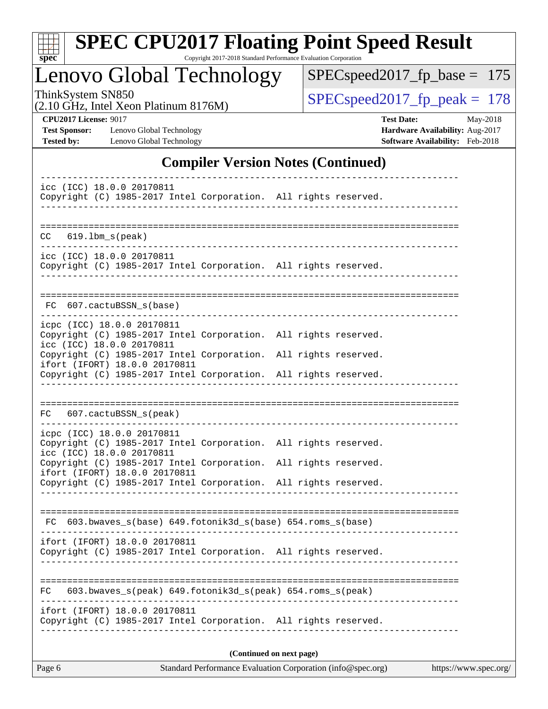

# **[SPEC CPU2017 Floating Point Speed Result](http://www.spec.org/auto/cpu2017/Docs/result-fields.html#SPECCPU2017FloatingPointSpeedResult)**

Copyright 2017-2018 Standard Performance Evaluation Corporation

Lenovo Global Technology

[SPECspeed2017\\_fp\\_base =](http://www.spec.org/auto/cpu2017/Docs/result-fields.html#SPECspeed2017fpbase) 175

(2.10 GHz, Intel Xeon Platinum 8176M)

ThinkSystem SN850<br>  $(2.10 \text{ GHz. Intel Yeon Platinum } 8176M)$  [SPECspeed2017\\_fp\\_peak =](http://www.spec.org/auto/cpu2017/Docs/result-fields.html#SPECspeed2017fppeak) 178

**[Test Sponsor:](http://www.spec.org/auto/cpu2017/Docs/result-fields.html#TestSponsor)** Lenovo Global Technology **[Hardware Availability:](http://www.spec.org/auto/cpu2017/Docs/result-fields.html#HardwareAvailability)** Aug-2017 **[Tested by:](http://www.spec.org/auto/cpu2017/Docs/result-fields.html#Testedby)** Lenovo Global Technology **[Software Availability:](http://www.spec.org/auto/cpu2017/Docs/result-fields.html#SoftwareAvailability)** Feb-2018

**[CPU2017 License:](http://www.spec.org/auto/cpu2017/Docs/result-fields.html#CPU2017License)** 9017 **[Test Date:](http://www.spec.org/auto/cpu2017/Docs/result-fields.html#TestDate)** May-2018

#### **[Compiler Version Notes \(Continued\)](http://www.spec.org/auto/cpu2017/Docs/result-fields.html#CompilerVersionNotes)**

| icc (ICC) 18.0.0 20170811<br>Copyright (C) 1985-2017 Intel Corporation. All rights reserved.                                                                        |                          |
|---------------------------------------------------------------------------------------------------------------------------------------------------------------------|--------------------------|
| $619.1$ bm_s(peak)<br>CC.                                                                                                                                           |                          |
| icc (ICC) 18.0.0 20170811<br>Copyright (C) 1985-2017 Intel Corporation. All rights reserved.                                                                        |                          |
| FC 607.cactuBSSN_s(base)                                                                                                                                            |                          |
| icpc (ICC) 18.0.0 20170811<br>Copyright (C) 1985-2017 Intel Corporation. All rights reserved.<br>icc (ICC) 18.0.0 20170811                                          |                          |
| Copyright (C) 1985-2017 Intel Corporation. All rights reserved.<br>ifort (IFORT) 18.0.0 20170811<br>Copyright (C) 1985-2017 Intel Corporation. All rights reserved. |                          |
|                                                                                                                                                                     |                          |
| FC 607.cactuBSSN_s(peak)                                                                                                                                            |                          |
| icpc (ICC) 18.0.0 20170811<br>Copyright (C) 1985-2017 Intel Corporation. All rights reserved.<br>icc (ICC) 18.0.0 20170811                                          |                          |
| Copyright (C) 1985-2017 Intel Corporation. All rights reserved.<br>ifort (IFORT) 18.0.0 20170811<br>Copyright (C) 1985-2017 Intel Corporation. All rights reserved. |                          |
|                                                                                                                                                                     |                          |
| FC 603.bwaves_s(base) 649.fotonik3d_s(base) 654.roms_s(base)                                                                                                        |                          |
| ifort (IFORT) 18.0.0 20170811<br>Copyright (C) 1985-2017 Intel Corporation. All rights reserved.                                                                    |                          |
| 603.bwaves_s(peak) 649.fotonik3d_s(peak) 654.roms_s(peak)<br>FC.                                                                                                    |                          |
| ifort (IFORT) 18.0.0 20170811<br>Copyright (C) 1985-2017 Intel Corporation. All rights reserved.                                                                    |                          |
|                                                                                                                                                                     | (Continued on next page) |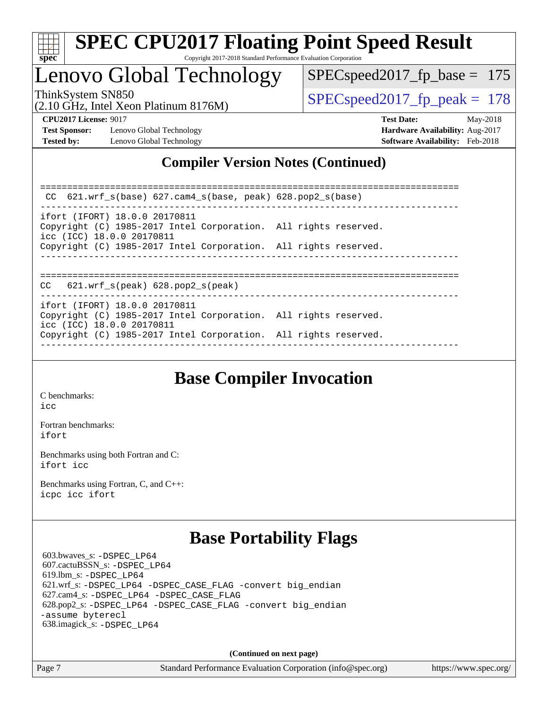

### Lenovo Global Technology

SPECspeed2017 fp base =  $175$ 

(2.10 GHz, Intel Xeon Platinum 8176M)

ThinkSystem SN850<br>  $SPEC speed2017$  fp\_peak = 178

**[Test Sponsor:](http://www.spec.org/auto/cpu2017/Docs/result-fields.html#TestSponsor)** Lenovo Global Technology **[Hardware Availability:](http://www.spec.org/auto/cpu2017/Docs/result-fields.html#HardwareAvailability)** Aug-2017 **[Tested by:](http://www.spec.org/auto/cpu2017/Docs/result-fields.html#Testedby)** Lenovo Global Technology **[Software Availability:](http://www.spec.org/auto/cpu2017/Docs/result-fields.html#SoftwareAvailability)** Feb-2018

**[CPU2017 License:](http://www.spec.org/auto/cpu2017/Docs/result-fields.html#CPU2017License)** 9017 **[Test Date:](http://www.spec.org/auto/cpu2017/Docs/result-fields.html#TestDate)** May-2018

### **[Compiler Version Notes \(Continued\)](http://www.spec.org/auto/cpu2017/Docs/result-fields.html#CompilerVersionNotes)**

============================================================================== CC 621.wrf\_s(base) 627.cam4\_s(base, peak) 628.pop2\_s(base) ----------------------------------------------------------------------------- ifort (IFORT) 18.0.0 20170811 Copyright (C) 1985-2017 Intel Corporation. All rights reserved. icc (ICC) 18.0.0 20170811 Copyright (C) 1985-2017 Intel Corporation. All rights reserved. ------------------------------------------------------------------------------ ============================================================================== CC 621.wrf\_s(peak) 628.pop2\_s(peak) ----------------------------------------------------------------------------- ifort (IFORT) 18.0.0 20170811 Copyright (C) 1985-2017 Intel Corporation. All rights reserved. icc (ICC) 18.0.0 20170811 Copyright (C) 1985-2017 Intel Corporation. All rights reserved. ------------------------------------------------------------------------------

### **[Base Compiler Invocation](http://www.spec.org/auto/cpu2017/Docs/result-fields.html#BaseCompilerInvocation)**

[C benchmarks](http://www.spec.org/auto/cpu2017/Docs/result-fields.html#Cbenchmarks): [icc](http://www.spec.org/cpu2017/results/res2018q2/cpu2017-20180611-06836.flags.html#user_CCbase_intel_icc_18.0_66fc1ee009f7361af1fbd72ca7dcefbb700085f36577c54f309893dd4ec40d12360134090235512931783d35fd58c0460139e722d5067c5574d8eaf2b3e37e92)

[Fortran benchmarks](http://www.spec.org/auto/cpu2017/Docs/result-fields.html#Fortranbenchmarks): [ifort](http://www.spec.org/cpu2017/results/res2018q2/cpu2017-20180611-06836.flags.html#user_FCbase_intel_ifort_18.0_8111460550e3ca792625aed983ce982f94888b8b503583aa7ba2b8303487b4d8a21a13e7191a45c5fd58ff318f48f9492884d4413fa793fd88dd292cad7027ca)

[Benchmarks using both Fortran and C](http://www.spec.org/auto/cpu2017/Docs/result-fields.html#BenchmarksusingbothFortranandC): [ifort](http://www.spec.org/cpu2017/results/res2018q2/cpu2017-20180611-06836.flags.html#user_CC_FCbase_intel_ifort_18.0_8111460550e3ca792625aed983ce982f94888b8b503583aa7ba2b8303487b4d8a21a13e7191a45c5fd58ff318f48f9492884d4413fa793fd88dd292cad7027ca) [icc](http://www.spec.org/cpu2017/results/res2018q2/cpu2017-20180611-06836.flags.html#user_CC_FCbase_intel_icc_18.0_66fc1ee009f7361af1fbd72ca7dcefbb700085f36577c54f309893dd4ec40d12360134090235512931783d35fd58c0460139e722d5067c5574d8eaf2b3e37e92)

[Benchmarks using Fortran, C, and C++:](http://www.spec.org/auto/cpu2017/Docs/result-fields.html#BenchmarksusingFortranCandCXX) [icpc](http://www.spec.org/cpu2017/results/res2018q2/cpu2017-20180611-06836.flags.html#user_CC_CXX_FCbase_intel_icpc_18.0_c510b6838c7f56d33e37e94d029a35b4a7bccf4766a728ee175e80a419847e808290a9b78be685c44ab727ea267ec2f070ec5dc83b407c0218cded6866a35d07) [icc](http://www.spec.org/cpu2017/results/res2018q2/cpu2017-20180611-06836.flags.html#user_CC_CXX_FCbase_intel_icc_18.0_66fc1ee009f7361af1fbd72ca7dcefbb700085f36577c54f309893dd4ec40d12360134090235512931783d35fd58c0460139e722d5067c5574d8eaf2b3e37e92) [ifort](http://www.spec.org/cpu2017/results/res2018q2/cpu2017-20180611-06836.flags.html#user_CC_CXX_FCbase_intel_ifort_18.0_8111460550e3ca792625aed983ce982f94888b8b503583aa7ba2b8303487b4d8a21a13e7191a45c5fd58ff318f48f9492884d4413fa793fd88dd292cad7027ca)

### **[Base Portability Flags](http://www.spec.org/auto/cpu2017/Docs/result-fields.html#BasePortabilityFlags)**

 603.bwaves\_s: [-DSPEC\\_LP64](http://www.spec.org/cpu2017/results/res2018q2/cpu2017-20180611-06836.flags.html#suite_basePORTABILITY603_bwaves_s_DSPEC_LP64) 607.cactuBSSN\_s: [-DSPEC\\_LP64](http://www.spec.org/cpu2017/results/res2018q2/cpu2017-20180611-06836.flags.html#suite_basePORTABILITY607_cactuBSSN_s_DSPEC_LP64) 619.lbm\_s: [-DSPEC\\_LP64](http://www.spec.org/cpu2017/results/res2018q2/cpu2017-20180611-06836.flags.html#suite_basePORTABILITY619_lbm_s_DSPEC_LP64) 621.wrf\_s: [-DSPEC\\_LP64](http://www.spec.org/cpu2017/results/res2018q2/cpu2017-20180611-06836.flags.html#suite_basePORTABILITY621_wrf_s_DSPEC_LP64) [-DSPEC\\_CASE\\_FLAG](http://www.spec.org/cpu2017/results/res2018q2/cpu2017-20180611-06836.flags.html#b621.wrf_s_baseCPORTABILITY_DSPEC_CASE_FLAG) [-convert big\\_endian](http://www.spec.org/cpu2017/results/res2018q2/cpu2017-20180611-06836.flags.html#user_baseFPORTABILITY621_wrf_s_convert_big_endian_c3194028bc08c63ac5d04de18c48ce6d347e4e562e8892b8bdbdc0214820426deb8554edfa529a3fb25a586e65a3d812c835984020483e7e73212c4d31a38223) 627.cam4\_s: [-DSPEC\\_LP64](http://www.spec.org/cpu2017/results/res2018q2/cpu2017-20180611-06836.flags.html#suite_basePORTABILITY627_cam4_s_DSPEC_LP64) [-DSPEC\\_CASE\\_FLAG](http://www.spec.org/cpu2017/results/res2018q2/cpu2017-20180611-06836.flags.html#b627.cam4_s_baseCPORTABILITY_DSPEC_CASE_FLAG) 628.pop2\_s: [-DSPEC\\_LP64](http://www.spec.org/cpu2017/results/res2018q2/cpu2017-20180611-06836.flags.html#suite_basePORTABILITY628_pop2_s_DSPEC_LP64) [-DSPEC\\_CASE\\_FLAG](http://www.spec.org/cpu2017/results/res2018q2/cpu2017-20180611-06836.flags.html#b628.pop2_s_baseCPORTABILITY_DSPEC_CASE_FLAG) [-convert big\\_endian](http://www.spec.org/cpu2017/results/res2018q2/cpu2017-20180611-06836.flags.html#user_baseFPORTABILITY628_pop2_s_convert_big_endian_c3194028bc08c63ac5d04de18c48ce6d347e4e562e8892b8bdbdc0214820426deb8554edfa529a3fb25a586e65a3d812c835984020483e7e73212c4d31a38223) [-assume byterecl](http://www.spec.org/cpu2017/results/res2018q2/cpu2017-20180611-06836.flags.html#user_baseFPORTABILITY628_pop2_s_assume_byterecl_7e47d18b9513cf18525430bbf0f2177aa9bf368bc7a059c09b2c06a34b53bd3447c950d3f8d6c70e3faf3a05c8557d66a5798b567902e8849adc142926523472) 638.imagick\_s: [-DSPEC\\_LP64](http://www.spec.org/cpu2017/results/res2018q2/cpu2017-20180611-06836.flags.html#suite_basePORTABILITY638_imagick_s_DSPEC_LP64)

**(Continued on next page)**

Page 7 Standard Performance Evaluation Corporation [\(info@spec.org\)](mailto:info@spec.org) <https://www.spec.org/>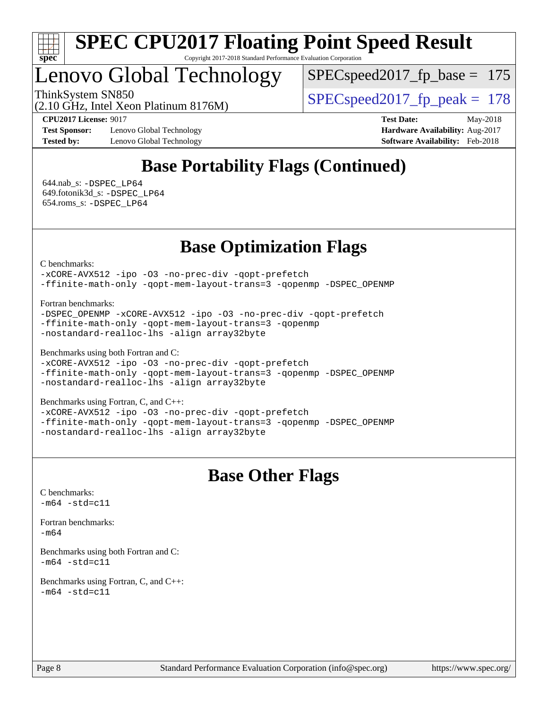

Lenovo Global Technology

SPECspeed2017 fp base =  $175$ 

ThinkSystem SN850<br>  $SPEC speed2017$  fp\_peak = 178

(2.10 GHz, Intel Xeon Platinum 8176M)

**[Test Sponsor:](http://www.spec.org/auto/cpu2017/Docs/result-fields.html#TestSponsor)** Lenovo Global Technology **[Hardware Availability:](http://www.spec.org/auto/cpu2017/Docs/result-fields.html#HardwareAvailability)** Aug-2017 **[Tested by:](http://www.spec.org/auto/cpu2017/Docs/result-fields.html#Testedby)** Lenovo Global Technology **[Software Availability:](http://www.spec.org/auto/cpu2017/Docs/result-fields.html#SoftwareAvailability)** Feb-2018

**[CPU2017 License:](http://www.spec.org/auto/cpu2017/Docs/result-fields.html#CPU2017License)** 9017 **[Test Date:](http://www.spec.org/auto/cpu2017/Docs/result-fields.html#TestDate)** May-2018

### **[Base Portability Flags \(Continued\)](http://www.spec.org/auto/cpu2017/Docs/result-fields.html#BasePortabilityFlags)**

 644.nab\_s: [-DSPEC\\_LP64](http://www.spec.org/cpu2017/results/res2018q2/cpu2017-20180611-06836.flags.html#suite_basePORTABILITY644_nab_s_DSPEC_LP64) 649.fotonik3d\_s: [-DSPEC\\_LP64](http://www.spec.org/cpu2017/results/res2018q2/cpu2017-20180611-06836.flags.html#suite_basePORTABILITY649_fotonik3d_s_DSPEC_LP64) 654.roms\_s: [-DSPEC\\_LP64](http://www.spec.org/cpu2017/results/res2018q2/cpu2017-20180611-06836.flags.html#suite_basePORTABILITY654_roms_s_DSPEC_LP64)

### **[Base Optimization Flags](http://www.spec.org/auto/cpu2017/Docs/result-fields.html#BaseOptimizationFlags)**

[C benchmarks](http://www.spec.org/auto/cpu2017/Docs/result-fields.html#Cbenchmarks):

[-xCORE-AVX512](http://www.spec.org/cpu2017/results/res2018q2/cpu2017-20180611-06836.flags.html#user_CCbase_f-xCORE-AVX512) [-ipo](http://www.spec.org/cpu2017/results/res2018q2/cpu2017-20180611-06836.flags.html#user_CCbase_f-ipo) [-O3](http://www.spec.org/cpu2017/results/res2018q2/cpu2017-20180611-06836.flags.html#user_CCbase_f-O3) [-no-prec-div](http://www.spec.org/cpu2017/results/res2018q2/cpu2017-20180611-06836.flags.html#user_CCbase_f-no-prec-div) [-qopt-prefetch](http://www.spec.org/cpu2017/results/res2018q2/cpu2017-20180611-06836.flags.html#user_CCbase_f-qopt-prefetch) [-ffinite-math-only](http://www.spec.org/cpu2017/results/res2018q2/cpu2017-20180611-06836.flags.html#user_CCbase_f_finite_math_only_cb91587bd2077682c4b38af759c288ed7c732db004271a9512da14a4f8007909a5f1427ecbf1a0fb78ff2a814402c6114ac565ca162485bbcae155b5e4258871) [-qopt-mem-layout-trans=3](http://www.spec.org/cpu2017/results/res2018q2/cpu2017-20180611-06836.flags.html#user_CCbase_f-qopt-mem-layout-trans_de80db37974c74b1f0e20d883f0b675c88c3b01e9d123adea9b28688d64333345fb62bc4a798493513fdb68f60282f9a726aa07f478b2f7113531aecce732043) [-qopenmp](http://www.spec.org/cpu2017/results/res2018q2/cpu2017-20180611-06836.flags.html#user_CCbase_qopenmp_16be0c44f24f464004c6784a7acb94aca937f053568ce72f94b139a11c7c168634a55f6653758ddd83bcf7b8463e8028bb0b48b77bcddc6b78d5d95bb1df2967) [-DSPEC\\_OPENMP](http://www.spec.org/cpu2017/results/res2018q2/cpu2017-20180611-06836.flags.html#suite_CCbase_DSPEC_OPENMP)

[Fortran benchmarks](http://www.spec.org/auto/cpu2017/Docs/result-fields.html#Fortranbenchmarks):

[-DSPEC\\_OPENMP](http://www.spec.org/cpu2017/results/res2018q2/cpu2017-20180611-06836.flags.html#suite_FCbase_DSPEC_OPENMP) [-xCORE-AVX512](http://www.spec.org/cpu2017/results/res2018q2/cpu2017-20180611-06836.flags.html#user_FCbase_f-xCORE-AVX512) [-ipo](http://www.spec.org/cpu2017/results/res2018q2/cpu2017-20180611-06836.flags.html#user_FCbase_f-ipo) [-O3](http://www.spec.org/cpu2017/results/res2018q2/cpu2017-20180611-06836.flags.html#user_FCbase_f-O3) [-no-prec-div](http://www.spec.org/cpu2017/results/res2018q2/cpu2017-20180611-06836.flags.html#user_FCbase_f-no-prec-div) [-qopt-prefetch](http://www.spec.org/cpu2017/results/res2018q2/cpu2017-20180611-06836.flags.html#user_FCbase_f-qopt-prefetch) [-ffinite-math-only](http://www.spec.org/cpu2017/results/res2018q2/cpu2017-20180611-06836.flags.html#user_FCbase_f_finite_math_only_cb91587bd2077682c4b38af759c288ed7c732db004271a9512da14a4f8007909a5f1427ecbf1a0fb78ff2a814402c6114ac565ca162485bbcae155b5e4258871) [-qopt-mem-layout-trans=3](http://www.spec.org/cpu2017/results/res2018q2/cpu2017-20180611-06836.flags.html#user_FCbase_f-qopt-mem-layout-trans_de80db37974c74b1f0e20d883f0b675c88c3b01e9d123adea9b28688d64333345fb62bc4a798493513fdb68f60282f9a726aa07f478b2f7113531aecce732043) [-qopenmp](http://www.spec.org/cpu2017/results/res2018q2/cpu2017-20180611-06836.flags.html#user_FCbase_qopenmp_16be0c44f24f464004c6784a7acb94aca937f053568ce72f94b139a11c7c168634a55f6653758ddd83bcf7b8463e8028bb0b48b77bcddc6b78d5d95bb1df2967) [-nostandard-realloc-lhs](http://www.spec.org/cpu2017/results/res2018q2/cpu2017-20180611-06836.flags.html#user_FCbase_f_2003_std_realloc_82b4557e90729c0f113870c07e44d33d6f5a304b4f63d4c15d2d0f1fab99f5daaed73bdb9275d9ae411527f28b936061aa8b9c8f2d63842963b95c9dd6426b8a) [-align array32byte](http://www.spec.org/cpu2017/results/res2018q2/cpu2017-20180611-06836.flags.html#user_FCbase_align_array32byte_b982fe038af199962ba9a80c053b8342c548c85b40b8e86eb3cc33dee0d7986a4af373ac2d51c3f7cf710a18d62fdce2948f201cd044323541f22fc0fffc51b6)

[Benchmarks using both Fortran and C](http://www.spec.org/auto/cpu2017/Docs/result-fields.html#BenchmarksusingbothFortranandC):

```
-xCORE-AVX512-ipo-no-prec-div-qopt-prefetch
-ffinite-math-only -qopt-mem-layout-trans=3 -qopenmp -DSPEC_OPENMP
-nostandard-realloc-lhs -align array32byte
```
[Benchmarks using Fortran, C, and C++:](http://www.spec.org/auto/cpu2017/Docs/result-fields.html#BenchmarksusingFortranCandCXX)

[-xCORE-AVX512](http://www.spec.org/cpu2017/results/res2018q2/cpu2017-20180611-06836.flags.html#user_CC_CXX_FCbase_f-xCORE-AVX512) [-ipo](http://www.spec.org/cpu2017/results/res2018q2/cpu2017-20180611-06836.flags.html#user_CC_CXX_FCbase_f-ipo) [-O3](http://www.spec.org/cpu2017/results/res2018q2/cpu2017-20180611-06836.flags.html#user_CC_CXX_FCbase_f-O3) [-no-prec-div](http://www.spec.org/cpu2017/results/res2018q2/cpu2017-20180611-06836.flags.html#user_CC_CXX_FCbase_f-no-prec-div) [-qopt-prefetch](http://www.spec.org/cpu2017/results/res2018q2/cpu2017-20180611-06836.flags.html#user_CC_CXX_FCbase_f-qopt-prefetch) [-ffinite-math-only](http://www.spec.org/cpu2017/results/res2018q2/cpu2017-20180611-06836.flags.html#user_CC_CXX_FCbase_f_finite_math_only_cb91587bd2077682c4b38af759c288ed7c732db004271a9512da14a4f8007909a5f1427ecbf1a0fb78ff2a814402c6114ac565ca162485bbcae155b5e4258871) [-qopt-mem-layout-trans=3](http://www.spec.org/cpu2017/results/res2018q2/cpu2017-20180611-06836.flags.html#user_CC_CXX_FCbase_f-qopt-mem-layout-trans_de80db37974c74b1f0e20d883f0b675c88c3b01e9d123adea9b28688d64333345fb62bc4a798493513fdb68f60282f9a726aa07f478b2f7113531aecce732043) [-qopenmp](http://www.spec.org/cpu2017/results/res2018q2/cpu2017-20180611-06836.flags.html#user_CC_CXX_FCbase_qopenmp_16be0c44f24f464004c6784a7acb94aca937f053568ce72f94b139a11c7c168634a55f6653758ddd83bcf7b8463e8028bb0b48b77bcddc6b78d5d95bb1df2967) [-DSPEC\\_OPENMP](http://www.spec.org/cpu2017/results/res2018q2/cpu2017-20180611-06836.flags.html#suite_CC_CXX_FCbase_DSPEC_OPENMP) [-nostandard-realloc-lhs](http://www.spec.org/cpu2017/results/res2018q2/cpu2017-20180611-06836.flags.html#user_CC_CXX_FCbase_f_2003_std_realloc_82b4557e90729c0f113870c07e44d33d6f5a304b4f63d4c15d2d0f1fab99f5daaed73bdb9275d9ae411527f28b936061aa8b9c8f2d63842963b95c9dd6426b8a) [-align array32byte](http://www.spec.org/cpu2017/results/res2018q2/cpu2017-20180611-06836.flags.html#user_CC_CXX_FCbase_align_array32byte_b982fe038af199962ba9a80c053b8342c548c85b40b8e86eb3cc33dee0d7986a4af373ac2d51c3f7cf710a18d62fdce2948f201cd044323541f22fc0fffc51b6)

### **[Base Other Flags](http://www.spec.org/auto/cpu2017/Docs/result-fields.html#BaseOtherFlags)**

[C benchmarks](http://www.spec.org/auto/cpu2017/Docs/result-fields.html#Cbenchmarks):  $-m64 - std= c11$  $-m64 - std= c11$ 

[Fortran benchmarks](http://www.spec.org/auto/cpu2017/Docs/result-fields.html#Fortranbenchmarks):

[-m64](http://www.spec.org/cpu2017/results/res2018q2/cpu2017-20180611-06836.flags.html#user_FCbase_intel_intel64_18.0_af43caccfc8ded86e7699f2159af6efc7655f51387b94da716254467f3c01020a5059329e2569e4053f409e7c9202a7efc638f7a6d1ffb3f52dea4a3e31d82ab)

[Benchmarks using both Fortran and C](http://www.spec.org/auto/cpu2017/Docs/result-fields.html#BenchmarksusingbothFortranandC):  $-m64 - std= c11$  $-m64 - std= c11$ 

[Benchmarks using Fortran, C, and C++:](http://www.spec.org/auto/cpu2017/Docs/result-fields.html#BenchmarksusingFortranCandCXX)  $-m64 - std= c11$  $-m64 - std= c11$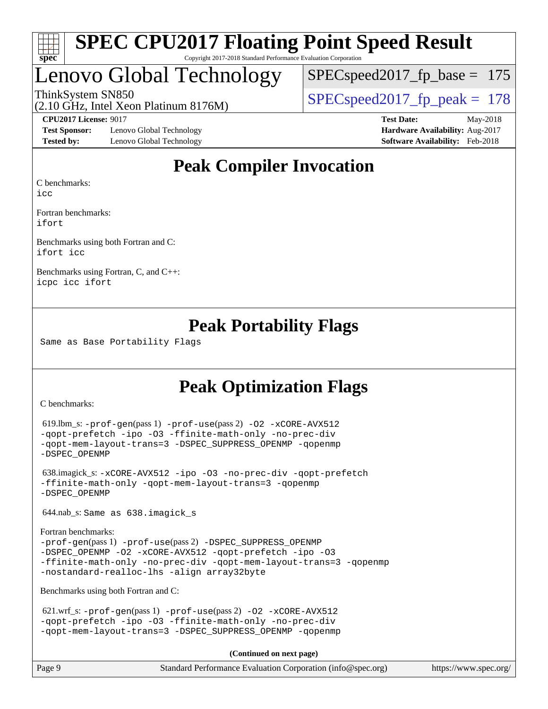

## Lenovo Global Technology

 $SPEC speed2017_fp\_base = 175$ 

(2.10 GHz, Intel Xeon Platinum 8176M)

ThinkSystem SN850<br>  $SPEC speed2017$  fp\_peak = 178

**[Test Sponsor:](http://www.spec.org/auto/cpu2017/Docs/result-fields.html#TestSponsor)** Lenovo Global Technology **[Hardware Availability:](http://www.spec.org/auto/cpu2017/Docs/result-fields.html#HardwareAvailability)** Aug-2017 **[Tested by:](http://www.spec.org/auto/cpu2017/Docs/result-fields.html#Testedby)** Lenovo Global Technology **[Software Availability:](http://www.spec.org/auto/cpu2017/Docs/result-fields.html#SoftwareAvailability)** Feb-2018

**[CPU2017 License:](http://www.spec.org/auto/cpu2017/Docs/result-fields.html#CPU2017License)** 9017 **[Test Date:](http://www.spec.org/auto/cpu2017/Docs/result-fields.html#TestDate)** May-2018

### **[Peak Compiler Invocation](http://www.spec.org/auto/cpu2017/Docs/result-fields.html#PeakCompilerInvocation)**

[C benchmarks](http://www.spec.org/auto/cpu2017/Docs/result-fields.html#Cbenchmarks):

[icc](http://www.spec.org/cpu2017/results/res2018q2/cpu2017-20180611-06836.flags.html#user_CCpeak_intel_icc_18.0_66fc1ee009f7361af1fbd72ca7dcefbb700085f36577c54f309893dd4ec40d12360134090235512931783d35fd58c0460139e722d5067c5574d8eaf2b3e37e92)

[Fortran benchmarks](http://www.spec.org/auto/cpu2017/Docs/result-fields.html#Fortranbenchmarks): [ifort](http://www.spec.org/cpu2017/results/res2018q2/cpu2017-20180611-06836.flags.html#user_FCpeak_intel_ifort_18.0_8111460550e3ca792625aed983ce982f94888b8b503583aa7ba2b8303487b4d8a21a13e7191a45c5fd58ff318f48f9492884d4413fa793fd88dd292cad7027ca)

[Benchmarks using both Fortran and C](http://www.spec.org/auto/cpu2017/Docs/result-fields.html#BenchmarksusingbothFortranandC): [ifort](http://www.spec.org/cpu2017/results/res2018q2/cpu2017-20180611-06836.flags.html#user_CC_FCpeak_intel_ifort_18.0_8111460550e3ca792625aed983ce982f94888b8b503583aa7ba2b8303487b4d8a21a13e7191a45c5fd58ff318f48f9492884d4413fa793fd88dd292cad7027ca) [icc](http://www.spec.org/cpu2017/results/res2018q2/cpu2017-20180611-06836.flags.html#user_CC_FCpeak_intel_icc_18.0_66fc1ee009f7361af1fbd72ca7dcefbb700085f36577c54f309893dd4ec40d12360134090235512931783d35fd58c0460139e722d5067c5574d8eaf2b3e37e92)

[Benchmarks using Fortran, C, and C++:](http://www.spec.org/auto/cpu2017/Docs/result-fields.html#BenchmarksusingFortranCandCXX) [icpc](http://www.spec.org/cpu2017/results/res2018q2/cpu2017-20180611-06836.flags.html#user_CC_CXX_FCpeak_intel_icpc_18.0_c510b6838c7f56d33e37e94d029a35b4a7bccf4766a728ee175e80a419847e808290a9b78be685c44ab727ea267ec2f070ec5dc83b407c0218cded6866a35d07) [icc](http://www.spec.org/cpu2017/results/res2018q2/cpu2017-20180611-06836.flags.html#user_CC_CXX_FCpeak_intel_icc_18.0_66fc1ee009f7361af1fbd72ca7dcefbb700085f36577c54f309893dd4ec40d12360134090235512931783d35fd58c0460139e722d5067c5574d8eaf2b3e37e92) [ifort](http://www.spec.org/cpu2017/results/res2018q2/cpu2017-20180611-06836.flags.html#user_CC_CXX_FCpeak_intel_ifort_18.0_8111460550e3ca792625aed983ce982f94888b8b503583aa7ba2b8303487b4d8a21a13e7191a45c5fd58ff318f48f9492884d4413fa793fd88dd292cad7027ca)

### **[Peak Portability Flags](http://www.spec.org/auto/cpu2017/Docs/result-fields.html#PeakPortabilityFlags)**

Same as Base Portability Flags

### **[Peak Optimization Flags](http://www.spec.org/auto/cpu2017/Docs/result-fields.html#PeakOptimizationFlags)**

[C benchmarks](http://www.spec.org/auto/cpu2017/Docs/result-fields.html#Cbenchmarks):

```
 619.lbm_s: -prof-gen(pass 1) -prof-use(pass 2) -O2 -xCORE-AVX512
-qopt-prefetch -ipo -O3 -ffinite-math-only -no-prec-div
-qopt-mem-layout-trans=3 -DSPEC_SUPPRESS_OPENMP -qopenmp
-DSPEC_OPENMP
```

```
 638.imagick_s: -xCORE-AVX512 -ipo -O3 -no-prec-div -qopt-prefetch
-ffinite-math-only -qopt-mem-layout-trans=3 -qopenmp
-DSPEC_OPENMP
```
644.nab\_s: Same as 638.imagick\_s

```
Fortran benchmarks: 
-prof-gen(pass 1) -prof-use(pass 2) -DSPEC_SUPPRESS_OPENMP
-DSPEC_OPENMP -O2 -xCORE-AVX512 -qopt-prefetch -ipo -O3
-ffinite-math-only -no-prec-div -qopt-mem-layout-trans=3 -qopenmp
-nostandard-realloc-lhs -align array32byte
```
[Benchmarks using both Fortran and C](http://www.spec.org/auto/cpu2017/Docs/result-fields.html#BenchmarksusingbothFortranandC):

```
621.wrf_s: -prof-use-O2-xCORE-AVX512-qopt-prefetch -ipo -O3 -ffinite-math-only -no-prec-div
-qopt-mem-layout-trans=3 -DSPEC_SUPPRESS_OPENMP -qopenmp
```
**(Continued on next page)**